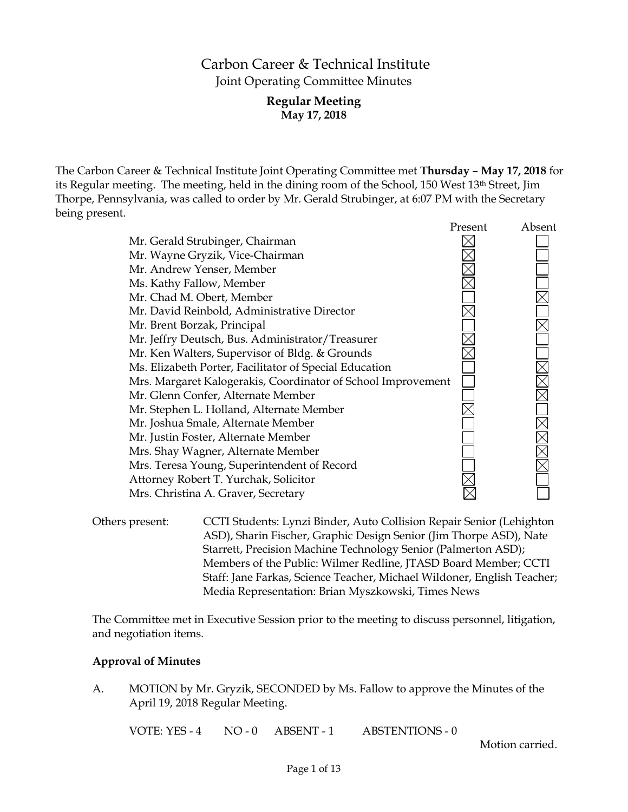# Carbon Career & Technical Institute Joint Operating Committee Minutes

## **Regular Meeting May 17, 2018**

The Carbon Career & Technical Institute Joint Operating Committee met **Thursday – May 17, 2018** for its Regular meeting. The meeting, held in the dining room of the School, 150 West 13th Street, Jim Thorpe, Pennsylvania, was called to order by Mr. Gerald Strubinger, at 6:07 PM with the Secretary being present.

|                                                              | Present | Absent |
|--------------------------------------------------------------|---------|--------|
| Mr. Gerald Strubinger, Chairman                              |         |        |
| Mr. Wayne Gryzik, Vice-Chairman                              |         |        |
| Mr. Andrew Yenser, Member                                    |         |        |
| Ms. Kathy Fallow, Member                                     |         |        |
| Mr. Chad M. Obert, Member                                    |         |        |
| Mr. David Reinbold, Administrative Director                  |         |        |
| Mr. Brent Borzak, Principal                                  |         |        |
| Mr. Jeffry Deutsch, Bus. Administrator/Treasurer             |         |        |
| Mr. Ken Walters, Supervisor of Bldg. & Grounds               |         |        |
| Ms. Elizabeth Porter, Facilitator of Special Education       |         |        |
| Mrs. Margaret Kalogerakis, Coordinator of School Improvement |         |        |
| Mr. Glenn Confer, Alternate Member                           |         |        |
| Mr. Stephen L. Holland, Alternate Member                     |         |        |
| Mr. Joshua Smale, Alternate Member                           |         |        |
| Mr. Justin Foster, Alternate Member                          |         |        |
| Mrs. Shay Wagner, Alternate Member                           |         |        |
| Mrs. Teresa Young, Superintendent of Record                  |         |        |
| Attorney Robert T. Yurchak, Solicitor                        |         |        |
| Mrs. Christina A. Graver, Secretary                          |         |        |
|                                                              |         |        |

Others present: CCTI Students: Lynzi Binder, Auto Collision Repair Senior (Lehighton ASD), Sharin Fischer, Graphic Design Senior (Jim Thorpe ASD), Nate Starrett, Precision Machine Technology Senior (Palmerton ASD); Members of the Public: Wilmer Redline, JTASD Board Member; CCTI Staff: Jane Farkas, Science Teacher, Michael Wildoner, English Teacher; Media Representation: Brian Myszkowski, Times News

The Committee met in Executive Session prior to the meeting to discuss personnel, litigation, and negotiation items.

## **Approval of Minutes**

A. MOTION by Mr. Gryzik, SECONDED by Ms. Fallow to approve the Minutes of the April 19, 2018 Regular Meeting.

VOTE: YES - 4 NO - 0 ABSENT - 1 ABSTENTIONS - 0

Motion carried.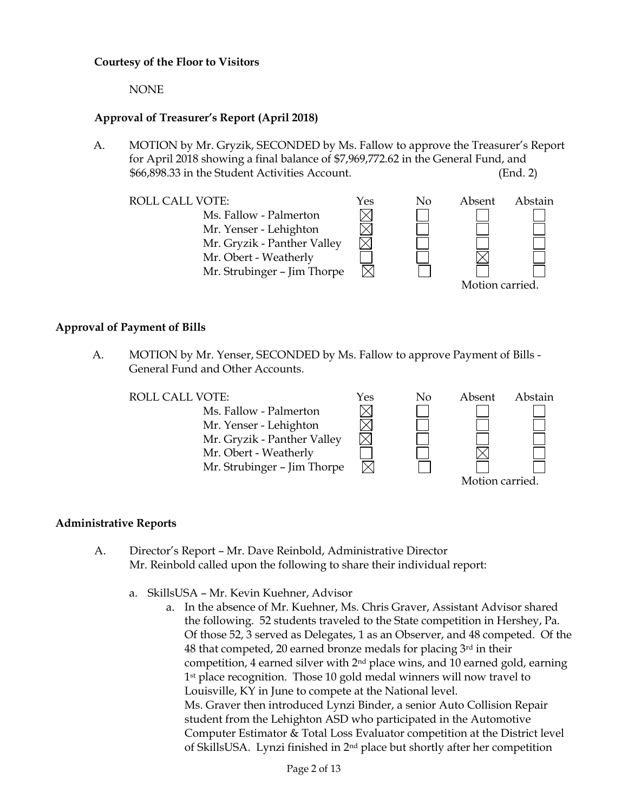## **Courtesy of the Floor to Visitors**

NONE

## **Approval of Treasurer's Report (April 2018)**

- A. MOTION by Mr. Gryzik, SECONDED by Ms. Fallow to approve the Treasurer's Report for April 2018 showing a final balance of \$7,969,772.62 in the General Fund, and \$66,898.33 in the Student Activities Account. (End. 2)
	- ROLL CALL VOTE:  $Y$ es No Absent Abstain Ms. Fallow - Palmerton Mr. Yenser - Lehighton Mr. Gryzik - Panther Valley Mr. Obert - Weatherly Mr. Strubinger – Jim Thorpe Motion carried.

### **Approval of Payment of Bills**

A. MOTION by Mr. Yenser, SECONDED by Ms. Fallow to approve Payment of Bills - General Fund and Other Accounts.

ROLL CALL VOTE:  $\gamma_{\text{es}}$  No Absent Abstain Ms. Fallow - Palmerton Mr. Yenser - Lehighton Mr. Gryzik - Panther Valley Mr. Obert - Weatherly Mr. Strubinger – Jim Thorpe Motion carried.

## **Administrative Reports**

- A. Director's Report Mr. Dave Reinbold, Administrative Director Mr. Reinbold called upon the following to share their individual report:
	- a. SkillsUSA Mr. Kevin Kuehner, Advisor
		- a. In the absence of Mr. Kuehner, Ms. Chris Graver, Assistant Advisor shared the following. 52 students traveled to the State competition in Hershey, Pa. Of those 52, 3 served as Delegates, 1 as an Observer, and 48 competed. Of the 48 that competed, 20 earned bronze medals for placing 3rd in their competition, 4 earned silver with  $2<sup>nd</sup>$  place wins, and 10 earned gold, earning 1<sup>st</sup> place recognition. Those 10 gold medal winners will now travel to Louisville, KY in June to compete at the National level. Ms. Graver then introduced Lynzi Binder, a senior Auto Collision Repair student from the Lehighton ASD who participated in the Automotive Computer Estimator & Total Loss Evaluator competition at the District level of SkillsUSA. Lynzi finished in 2nd place but shortly after her competition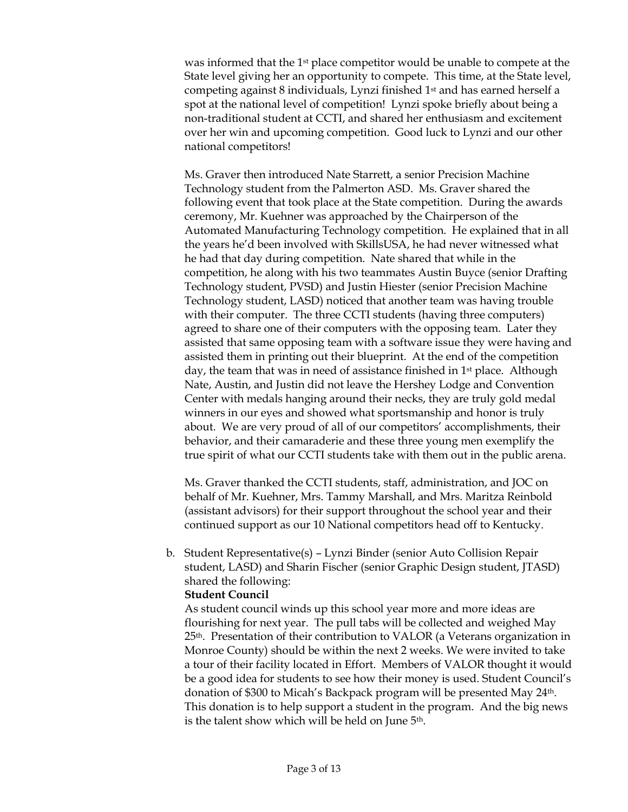was informed that the 1<sup>st</sup> place competitor would be unable to compete at the State level giving her an opportunity to compete. This time, at the State level, competing against 8 individuals, Lynzi finished 1st and has earned herself a spot at the national level of competition! Lynzi spoke briefly about being a non-traditional student at CCTI, and shared her enthusiasm and excitement over her win and upcoming competition. Good luck to Lynzi and our other national competitors!

Ms. Graver then introduced Nate Starrett, a senior Precision Machine Technology student from the Palmerton ASD. Ms. Graver shared the following event that took place at the State competition. During the awards ceremony, Mr. Kuehner was approached by the Chairperson of the Automated Manufacturing Technology competition. He explained that in all the years he'd been involved with SkillsUSA, he had never witnessed what he had that day during competition. Nate shared that while in the competition, he along with his two teammates Austin Buyce (senior Drafting Technology student, PVSD) and Justin Hiester (senior Precision Machine Technology student, LASD) noticed that another team was having trouble with their computer. The three CCTI students (having three computers) agreed to share one of their computers with the opposing team. Later they assisted that same opposing team with a software issue they were having and assisted them in printing out their blueprint. At the end of the competition day, the team that was in need of assistance finished in 1<sup>st</sup> place. Although Nate, Austin, and Justin did not leave the Hershey Lodge and Convention Center with medals hanging around their necks, they are truly gold medal winners in our eyes and showed what sportsmanship and honor is truly about. We are very proud of all of our competitors' accomplishments, their behavior, and their camaraderie and these three young men exemplify the true spirit of what our CCTI students take with them out in the public arena.

Ms. Graver thanked the CCTI students, staff, administration, and JOC on behalf of Mr. Kuehner, Mrs. Tammy Marshall, and Mrs. Maritza Reinbold (assistant advisors) for their support throughout the school year and their continued support as our 10 National competitors head off to Kentucky.

b. Student Representative(s) – Lynzi Binder (senior Auto Collision Repair student, LASD) and Sharin Fischer (senior Graphic Design student, JTASD) shared the following:

#### **Student Council**

As student council winds up this school year more and more ideas are flourishing for next year. The pull tabs will be collected and weighed May 25th. Presentation of their contribution to VALOR (a Veterans organization in Monroe County) should be within the next 2 weeks. We were invited to take a tour of their facility located in Effort. Members of VALOR thought it would be a good idea for students to see how their money is used. Student Council's donation of \$300 to Micah's Backpack program will be presented May 24th. This donation is to help support a student in the program. And the big news is the talent show which will be held on June 5<sup>th</sup>.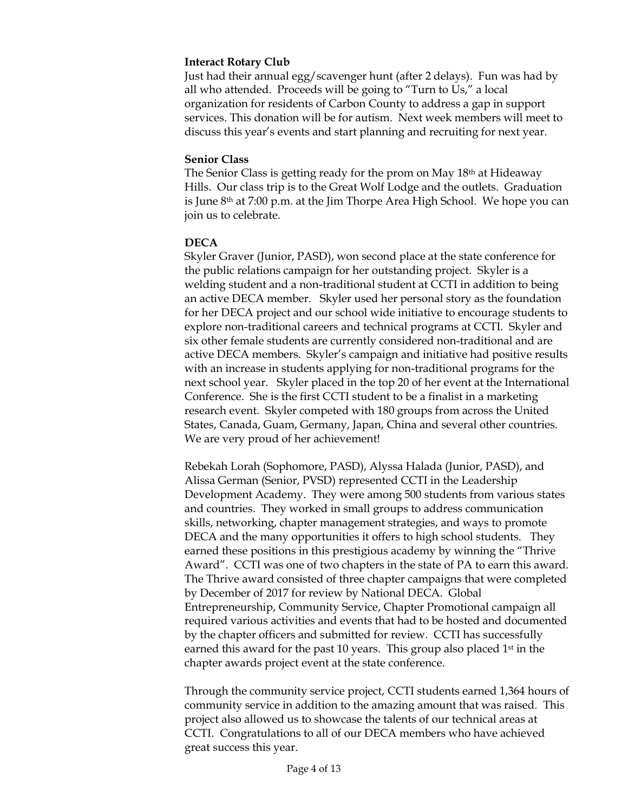## **Interact Rotary Club**

Just had their annual egg/scavenger hunt (after 2 delays). Fun was had by all who attended. Proceeds will be going to "Turn to Us," a local organization for residents of Carbon County to address a gap in support services. This donation will be for autism. Next week members will meet to discuss this year's events and start planning and recruiting for next year.

## **Senior Class**

The Senior Class is getting ready for the prom on May 18th at Hideaway Hills. Our class trip is to the Great Wolf Lodge and the outlets. Graduation is June 8th at 7:00 p.m. at the Jim Thorpe Area High School. We hope you can join us to celebrate.

## **DECA**

Skyler Graver (Junior, PASD), won second place at the state conference for the public relations campaign for her outstanding project. Skyler is a welding student and a non-traditional student at CCTI in addition to being an active DECA member. Skyler used her personal story as the foundation for her DECA project and our school wide initiative to encourage students to explore non-traditional careers and technical programs at CCTI. Skyler and six other female students are currently considered non-traditional and are active DECA members. Skyler's campaign and initiative had positive results with an increase in students applying for non-traditional programs for the next school year. Skyler placed in the top 20 of her event at the International Conference. She is the first CCTI student to be a finalist in a marketing research event. Skyler competed with 180 groups from across the United States, Canada, Guam, Germany, Japan, China and several other countries. We are very proud of her achievement!

Rebekah Lorah (Sophomore, PASD), Alyssa Halada (Junior, PASD), and Alissa German (Senior, PVSD) represented CCTI in the Leadership Development Academy. They were among 500 students from various states and countries. They worked in small groups to address communication skills, networking, chapter management strategies, and ways to promote DECA and the many opportunities it offers to high school students. They earned these positions in this prestigious academy by winning the "Thrive Award". CCTI was one of two chapters in the state of PA to earn this award. The Thrive award consisted of three chapter campaigns that were completed by December of 2017 for review by National DECA. Global Entrepreneurship, Community Service, Chapter Promotional campaign all required various activities and events that had to be hosted and documented by the chapter officers and submitted for review. CCTI has successfully earned this award for the past 10 years. This group also placed 1<sup>st</sup> in the chapter awards project event at the state conference.

Through the community service project, CCTI students earned 1,364 hours of community service in addition to the amazing amount that was raised. This project also allowed us to showcase the talents of our technical areas at CCTI. Congratulations to all of our DECA members who have achieved great success this year.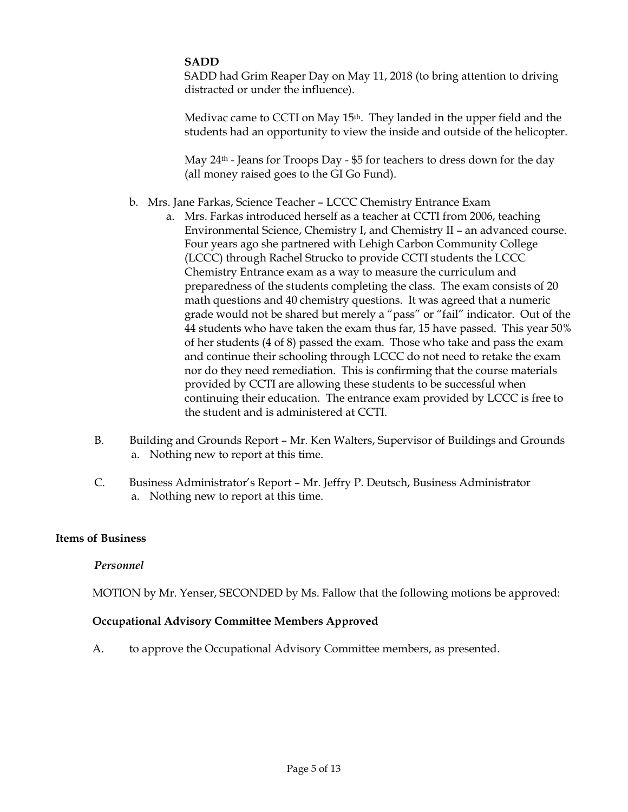## **SADD**

SADD had Grim Reaper Day on May 11, 2018 (to bring attention to driving distracted or under the influence).

Medivac came to CCTI on May 15<sup>th</sup>. They landed in the upper field and the students had an opportunity to view the inside and outside of the helicopter.

May 24<sup>th</sup> - Jeans for Troops Day - \$5 for teachers to dress down for the day (all money raised goes to the GI Go Fund).

- b. Mrs. Jane Farkas, Science Teacher LCCC Chemistry Entrance Exam
	- a. Mrs. Farkas introduced herself as a teacher at CCTI from 2006, teaching Environmental Science, Chemistry I, and Chemistry II – an advanced course. Four years ago she partnered with Lehigh Carbon Community College (LCCC) through Rachel Strucko to provide CCTI students the LCCC Chemistry Entrance exam as a way to measure the curriculum and preparedness of the students completing the class. The exam consists of 20 math questions and 40 chemistry questions. It was agreed that a numeric grade would not be shared but merely a "pass" or "fail" indicator. Out of the 44 students who have taken the exam thus far, 15 have passed. This year 50% of her students (4 of 8) passed the exam. Those who take and pass the exam and continue their schooling through LCCC do not need to retake the exam nor do they need remediation. This is confirming that the course materials provided by CCTI are allowing these students to be successful when continuing their education. The entrance exam provided by LCCC is free to the student and is administered at CCTI.
- B. Building and Grounds Report Mr. Ken Walters, Supervisor of Buildings and Grounds a. Nothing new to report at this time.
- C. Business Administrator's Report Mr. Jeffry P. Deutsch, Business Administrator a. Nothing new to report at this time.

## **Items of Business**

## *Personnel*

MOTION by Mr. Yenser, SECONDED by Ms. Fallow that the following motions be approved:

## **Occupational Advisory Committee Members Approved**

A. to approve the Occupational Advisory Committee members, as presented.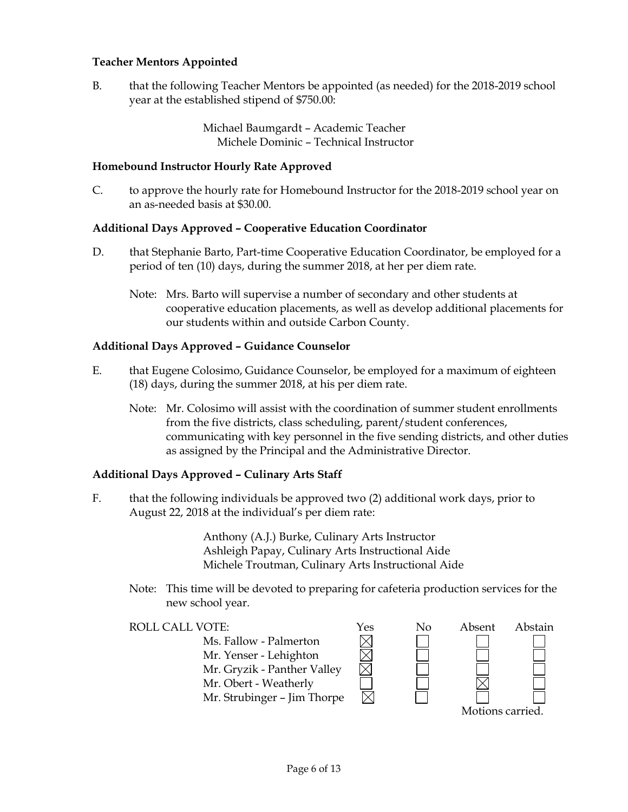## **Teacher Mentors Appointed**

B. that the following Teacher Mentors be appointed (as needed) for the 2018-2019 school year at the established stipend of \$750.00:

> Michael Baumgardt – Academic Teacher Michele Dominic – Technical Instructor

### **Homebound Instructor Hourly Rate Approved**

C. to approve the hourly rate for Homebound Instructor for the 2018-2019 school year on an as-needed basis at \$30.00.

### **Additional Days Approved – Cooperative Education Coordinator**

- D. that Stephanie Barto, Part-time Cooperative Education Coordinator, be employed for a period of ten (10) days, during the summer 2018, at her per diem rate.
	- Note: Mrs. Barto will supervise a number of secondary and other students at cooperative education placements, as well as develop additional placements for our students within and outside Carbon County.

### **Additional Days Approved – Guidance Counselor**

- E. that Eugene Colosimo, Guidance Counselor, be employed for a maximum of eighteen (18) days, during the summer 2018, at his per diem rate.
	- Note: Mr. Colosimo will assist with the coordination of summer student enrollments from the five districts, class scheduling, parent/student conferences, communicating with key personnel in the five sending districts, and other duties as assigned by the Principal and the Administrative Director.

#### **Additional Days Approved – Culinary Arts Staff**

F. that the following individuals be approved two (2) additional work days, prior to August 22, 2018 at the individual's per diem rate:

> Anthony (A.J.) Burke, Culinary Arts Instructor Ashleigh Papay, Culinary Arts Instructional Aide Michele Troutman, Culinary Arts Instructional Aide

Note: This time will be devoted to preparing for cafeteria production services for the new school year.

 $\boxtimes$ 

Ms. Fallow - Palmerton Mr. Yenser - Lehighton Mr. Gryzik - Panther Valley Mr. Obert - Weatherly Mr. Strubinger – Jim Thorpe



Motions carried.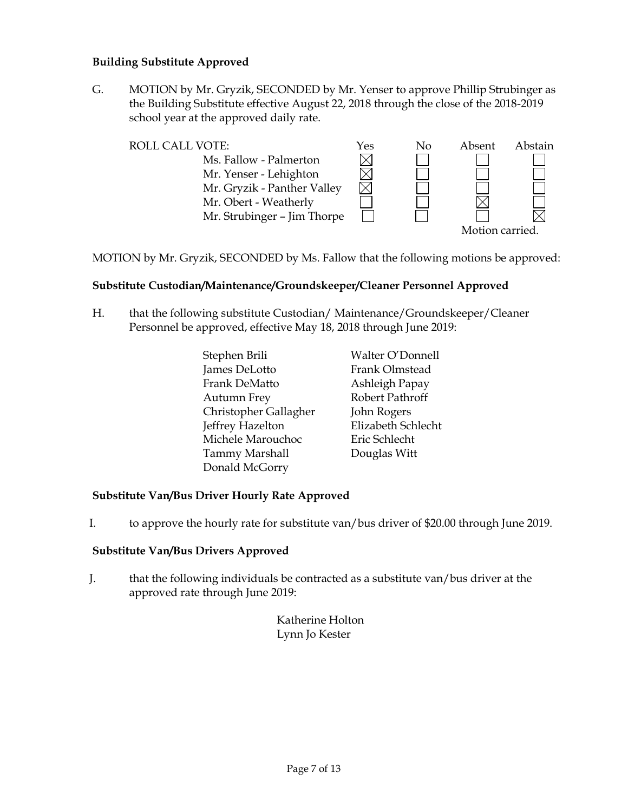## **Building Substitute Approved**

G. MOTION by Mr. Gryzik, SECONDED by Mr. Yenser to approve Phillip Strubinger as the Building Substitute effective August 22, 2018 through the close of the 2018-2019 school year at the approved daily rate.

| <b>ROLL CALL VOTE:</b>      |  | No | Absent          | Abstain |
|-----------------------------|--|----|-----------------|---------|
| Ms. Fallow - Palmerton      |  |    |                 |         |
| Mr. Yenser - Lehighton      |  |    |                 |         |
| Mr. Gryzik - Panther Valley |  |    |                 |         |
| Mr. Obert - Weatherly       |  |    |                 |         |
| Mr. Strubinger - Jim Thorpe |  |    |                 |         |
|                             |  |    | Motion carried. |         |

MOTION by Mr. Gryzik, SECONDED by Ms. Fallow that the following motions be approved:

## **Substitute Custodian/Maintenance/Groundskeeper/Cleaner Personnel Approved**

H. that the following substitute Custodian/ Maintenance/Groundskeeper/Cleaner Personnel be approved, effective May 18, 2018 through June 2019:

| Stephen Brili         | Walter O'Donnell   |
|-----------------------|--------------------|
| James DeLotto         | Frank Olmstead     |
| Frank DeMatto         | Ashleigh Papay     |
| <b>Autumn Frey</b>    | Robert Pathroff    |
| Christopher Gallagher | John Rogers        |
| Jeffrey Hazelton      | Elizabeth Schlecht |
| Michele Marouchoc     | Eric Schlecht      |
| <b>Tammy Marshall</b> | Douglas Witt       |
| Donald McGorry        |                    |

## **Substitute Van/Bus Driver Hourly Rate Approved**

I. to approve the hourly rate for substitute van/bus driver of \$20.00 through June 2019.

#### **Substitute Van/Bus Drivers Approved**

J. that the following individuals be contracted as a substitute van/bus driver at the approved rate through June 2019:

> Katherine Holton Lynn Jo Kester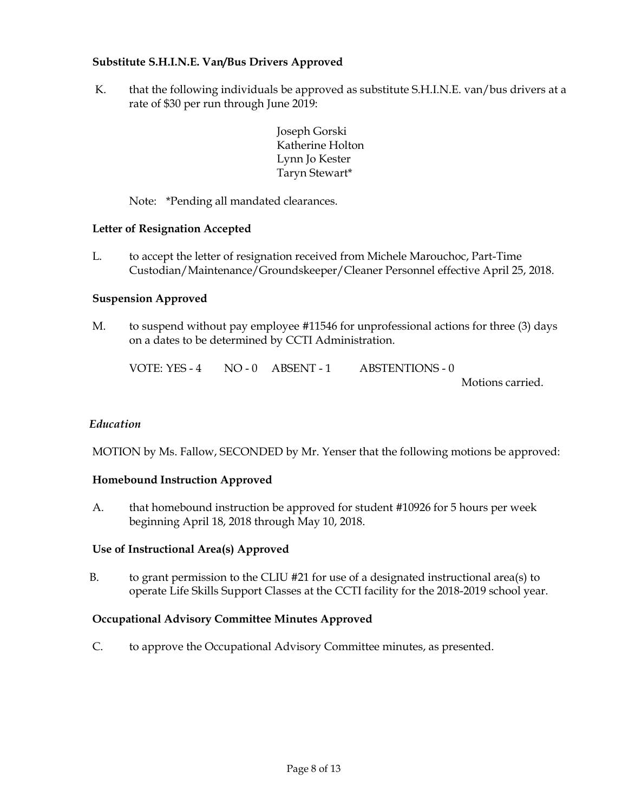## **Substitute S.H.I.N.E. Van/Bus Drivers Approved**

K. that the following individuals be approved as substitute S.H.I.N.E. van/bus drivers at a rate of \$30 per run through June 2019:

> Joseph Gorski Katherine Holton Lynn Jo Kester Taryn Stewart\*

Note: \*Pending all mandated clearances.

### **Letter of Resignation Accepted**

L. to accept the letter of resignation received from Michele Marouchoc, Part-Time Custodian/Maintenance/Groundskeeper/Cleaner Personnel effective April 25, 2018.

### **Suspension Approved**

M. to suspend without pay employee #11546 for unprofessional actions for three (3) days on a dates to be determined by CCTI Administration.

| VOTE: YES - 4 | $NO - 0$ $ABSENT - 1$ | <b>ABSTENTIONS - 0</b> |  |
|---------------|-----------------------|------------------------|--|
|               |                       |                        |  |

Motions carried.

#### *Education*

MOTION by Ms. Fallow, SECONDED by Mr. Yenser that the following motions be approved:

#### **Homebound Instruction Approved**

A. that homebound instruction be approved for student #10926 for 5 hours per week beginning April 18, 2018 through May 10, 2018.

#### **Use of Instructional Area(s) Approved**

B. to grant permission to the CLIU  $#21$  for use of a designated instructional area(s) to operate Life Skills Support Classes at the CCTI facility for the 2018-2019 school year.

#### **Occupational Advisory Committee Minutes Approved**

C. to approve the Occupational Advisory Committee minutes, as presented.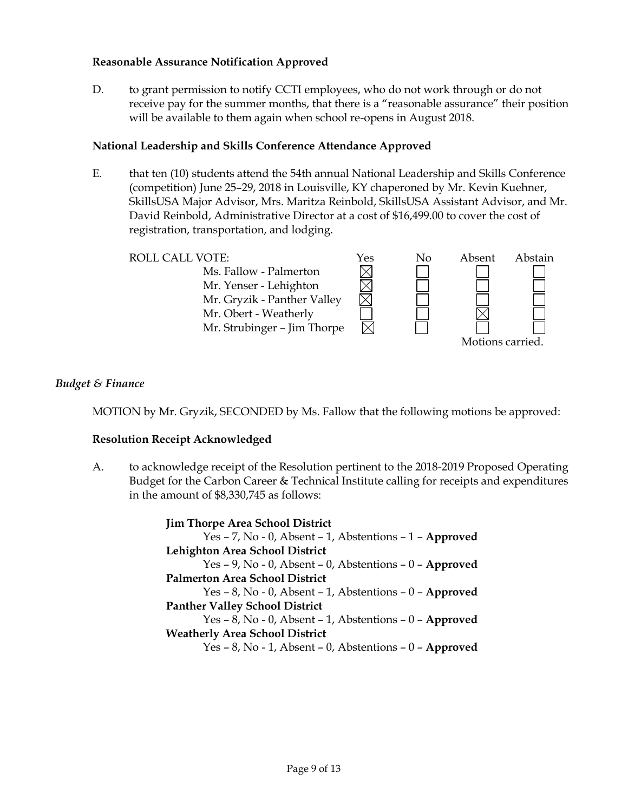## **Reasonable Assurance Notification Approved**

D. to grant permission to notify CCTI employees, who do not work through or do not receive pay for the summer months, that there is a "reasonable assurance" their position will be available to them again when school re-opens in August 2018.

## **National Leadership and Skills Conference Attendance Approved**

E. that ten (10) students attend the 54th annual National Leadership and Skills Conference (competition) June 25–29, 2018 in Louisville, KY chaperoned by Mr. Kevin Kuehner, SkillsUSA Major Advisor, Mrs. Maritza Reinbold, SkillsUSA Assistant Advisor, and Mr. David Reinbold, Administrative Director at a cost of \$16,499.00 to cover the cost of registration, transportation, and lodging.

ROLL CALL VOTE:<br>
Ms. Fallow - Palmerton<br>
Mr. Yenser - Lehighton<br>  $\boxtimes$ Ms. Fallow - Palmerton Mr. Yenser - Lehighton Mr. Gryzik - Panther Valley Mr. Obert - Weatherly Mr. Strubinger – Jim Thorpe Motions carried.

## *Budget & Finance*

MOTION by Mr. Gryzik, SECONDED by Ms. Fallow that the following motions be approved:

## **Resolution Receipt Acknowledged**

A. to acknowledge receipt of the Resolution pertinent to the 2018-2019 Proposed Operating Budget for the Carbon Career & Technical Institute calling for receipts and expenditures in the amount of \$8,330,745 as follows:

> **Jim Thorpe Area School District** Yes – 7, No - 0, Absent – 1, Abstentions – 1 – **Approved Lehighton Area School District** Yes – 9, No - 0, Absent – 0, Abstentions – 0 – **Approved Palmerton Area School District** Yes – 8, No - 0, Absent – 1, Abstentions – 0 – **Approved Panther Valley School District** Yes – 8, No - 0, Absent – 1, Abstentions – 0 – **Approved Weatherly Area School District** Yes – 8, No - 1, Absent – 0, Abstentions – 0 – **Approved**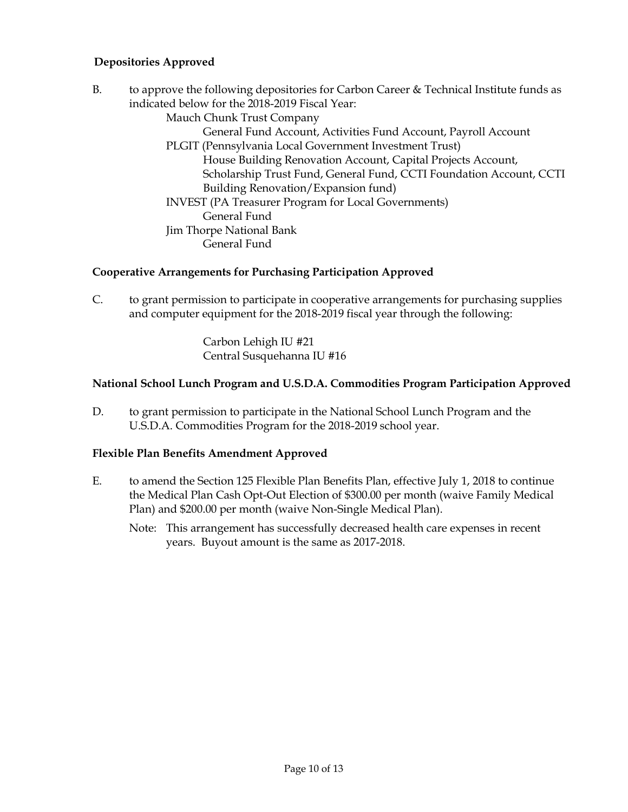## **Depositories Approved**

B. to approve the following depositories for Carbon Career & Technical Institute funds as indicated below for the 2018-2019 Fiscal Year:

Mauch Chunk Trust Company

General Fund Account, Activities Fund Account, Payroll Account PLGIT (Pennsylvania Local Government Investment Trust)

House Building Renovation Account, Capital Projects Account, Scholarship Trust Fund, General Fund, CCTI Foundation Account, CCTI Building Renovation/Expansion fund)

INVEST (PA Treasurer Program for Local Governments) General Fund Jim Thorpe National Bank General Fund

## **Cooperative Arrangements for Purchasing Participation Approved**

C. to grant permission to participate in cooperative arrangements for purchasing supplies and computer equipment for the 2018-2019 fiscal year through the following:

> Carbon Lehigh IU #21 Central Susquehanna IU #16

## **National School Lunch Program and U.S.D.A. Commodities Program Participation Approved**

D. to grant permission to participate in the National School Lunch Program and the U.S.D.A. Commodities Program for the 2018-2019 school year.

## **Flexible Plan Benefits Amendment Approved**

- E. to amend the Section 125 Flexible Plan Benefits Plan, effective July 1, 2018 to continue the Medical Plan Cash Opt-Out Election of \$300.00 per month (waive Family Medical Plan) and \$200.00 per month (waive Non-Single Medical Plan).
	- Note: This arrangement has successfully decreased health care expenses in recent years. Buyout amount is the same as 2017-2018.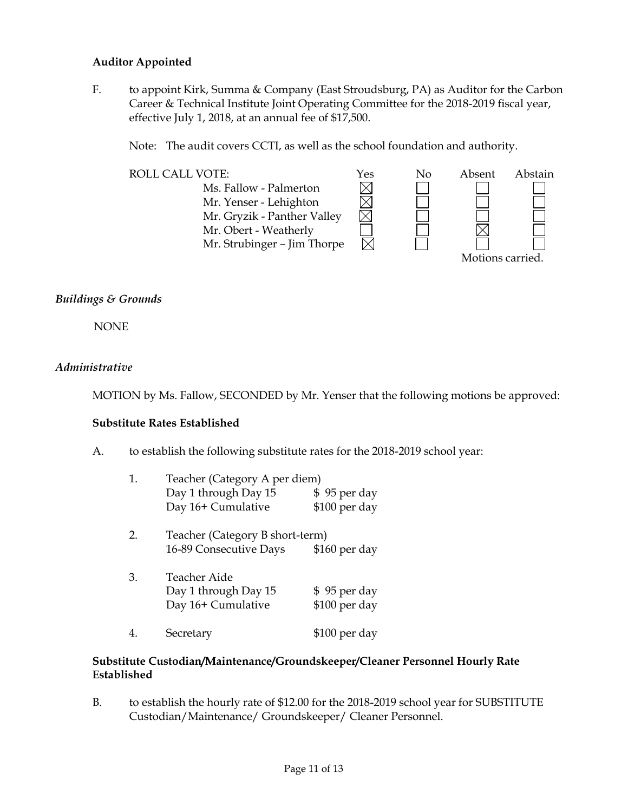## **Auditor Appointed**

F. to appoint Kirk, Summa & Company (East Stroudsburg, PA) as Auditor for the Carbon Career & Technical Institute Joint Operating Committee for the 2018-2019 fiscal year, effective July 1, 2018, at an annual fee of \$17,500.

Note: The audit covers CCTI, as well as the school foundation and authority.



## *Buildings & Grounds*

NONE

## *Administrative*

MOTION by Ms. Fallow, SECONDED by Mr. Yenser that the following motions be approved:

## **Substitute Rates Established**

A. to establish the following substitute rates for the 2018-2019 school year:

| 1. | Teacher (Category A per diem)   |               |  |  |  |
|----|---------------------------------|---------------|--|--|--|
|    | Day 1 through Day 15            | \$95 per day  |  |  |  |
|    | Day 16+ Cumulative              | \$100 per day |  |  |  |
| 2. | Teacher (Category B short-term) |               |  |  |  |
|    | 16-89 Consecutive Days          | \$160 per day |  |  |  |
| 3. | Teacher Aide                    |               |  |  |  |
|    | Day 1 through Day 15            | \$95 per day  |  |  |  |
|    | Day 16+ Cumulative              | \$100 per day |  |  |  |
|    | Secretary                       | \$100 per day |  |  |  |

## **Substitute Custodian/Maintenance/Groundskeeper/Cleaner Personnel Hourly Rate Established**

B. to establish the hourly rate of \$12.00 for the 2018-2019 school year for SUBSTITUTE Custodian/Maintenance/ Groundskeeper/ Cleaner Personnel.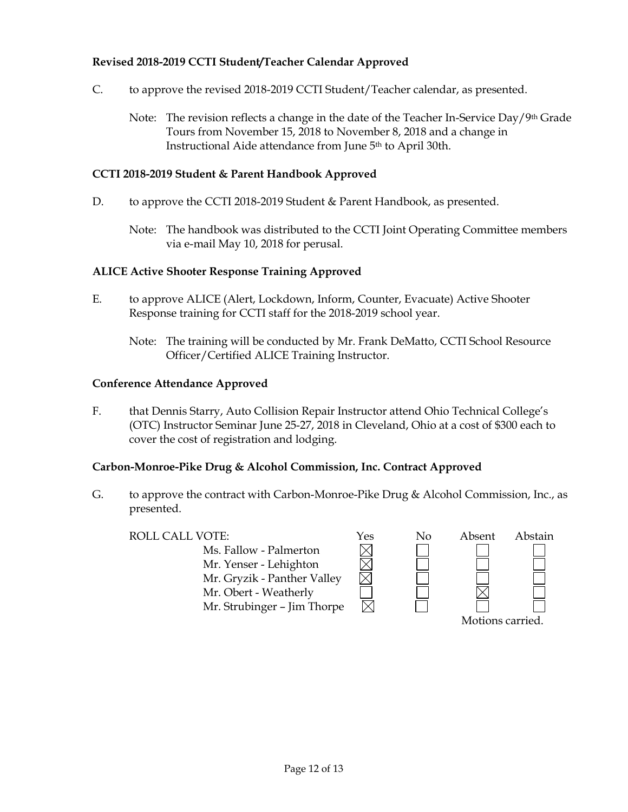## **Revised 2018-2019 CCTI Student/Teacher Calendar Approved**

- C. to approve the revised 2018-2019 CCTI Student/Teacher calendar, as presented.
	- Note: The revision reflects a change in the date of the Teacher In-Service Day/9<sup>th</sup> Grade Tours from November 15, 2018 to November 8, 2018 and a change in Instructional Aide attendance from June 5th to April 30th.

#### **CCTI 2018-2019 Student & Parent Handbook Approved**

- D. to approve the CCTI 2018-2019 Student & Parent Handbook, as presented.
	- Note: The handbook was distributed to the CCTI Joint Operating Committee members via e-mail May 10, 2018 for perusal.

### **ALICE Active Shooter Response Training Approved**

- E. to approve ALICE (Alert, Lockdown, Inform, Counter, Evacuate) Active Shooter Response training for CCTI staff for the 2018-2019 school year.
	- Note: The training will be conducted by Mr. Frank DeMatto, CCTI School Resource Officer/Certified ALICE Training Instructor.

### **Conference Attendance Approved**

F. that Dennis Starry, Auto Collision Repair Instructor attend Ohio Technical College's (OTC) Instructor Seminar June 25-27, 2018 in Cleveland, Ohio at a cost of \$300 each to cover the cost of registration and lodging.

## **Carbon-Monroe-Pike Drug & Alcohol Commission, Inc. Contract Approved**

G. to approve the contract with Carbon-Monroe-Pike Drug & Alcohol Commission, Inc., as presented.

ROLL CALL VOTE:<br>
Ms. Fallow - Palmerton<br>
Mr. Yenser - Lehighton<br>
Mr. Gryzik - Panther Valley Ms. Fallow - Palmerton Mr. Yenser - Lehighton Mr. Gryzik - Panther Valley Mr. Obert - Weatherly Mr. Strubinger – Jim Thorpe



Motions carried.